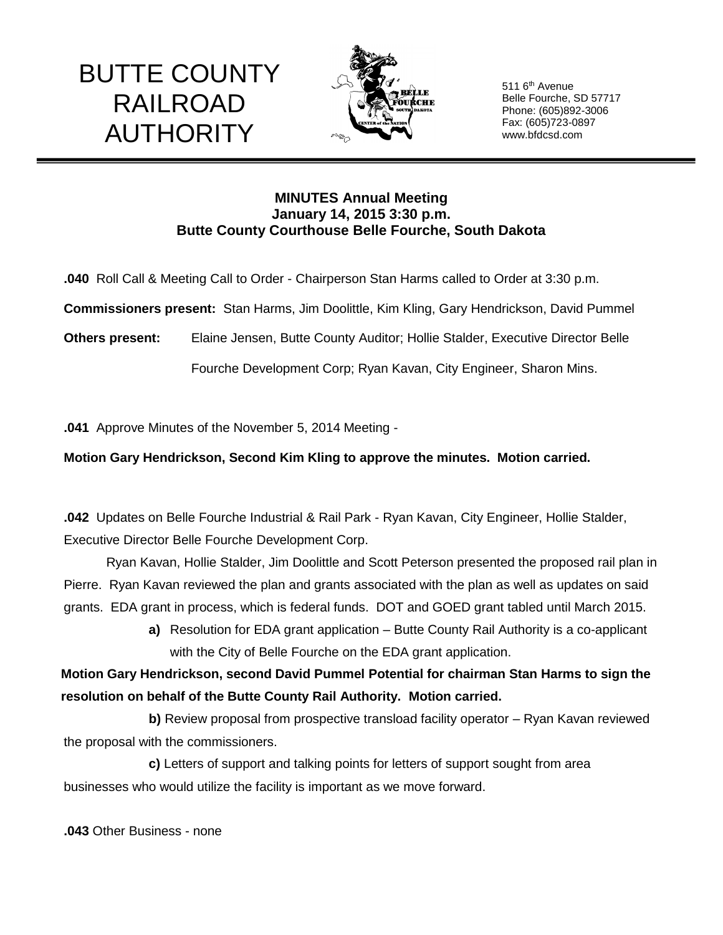## BUTTE COUNTY RAILROAD AUTHORITY



511 6<sup>th</sup> Avenue Belle Fourche, SD 57717 Phone: (605)892-3006 Fax: (605)723-0897 www.bfdcsd.com

## **MINUTES Annual Meeting January 14, 2015 3:30 p.m. Butte County Courthouse Belle Fourche, South Dakota**

**.040** Roll Call & Meeting Call to Order - Chairperson Stan Harms called to Order at 3:30 p.m.

**Commissioners present:** Stan Harms, Jim Doolittle, Kim Kling, Gary Hendrickson, David Pummel

**Others present:** Elaine Jensen, Butte County Auditor; Hollie Stalder, Executive Director Belle

Fourche Development Corp; Ryan Kavan, City Engineer, Sharon Mins.

**.041** Approve Minutes of the November 5, 2014 Meeting -

**Motion Gary Hendrickson, Second Kim Kling to approve the minutes. Motion carried.**

**.042** Updates on Belle Fourche Industrial & Rail Park - Ryan Kavan, City Engineer, Hollie Stalder, Executive Director Belle Fourche Development Corp.

Ryan Kavan, Hollie Stalder, Jim Doolittle and Scott Peterson presented the proposed rail plan in Pierre. Ryan Kavan reviewed the plan and grants associated with the plan as well as updates on said grants. EDA grant in process, which is federal funds. DOT and GOED grant tabled until March 2015.

> **a)** Resolution for EDA grant application – Butte County Rail Authority is a co-applicant with the City of Belle Fourche on the EDA grant application.

 **Motion Gary Hendrickson, second David Pummel Potential for chairman Stan Harms to sign the resolution on behalf of the Butte County Rail Authority. Motion carried.**

**b)** Review proposal from prospective transload facility operator – Ryan Kavan reviewed the proposal with the commissioners.

**c)** Letters of support and talking points for letters of support sought from area businesses who would utilize the facility is important as we move forward.

**.043** Other Business - none